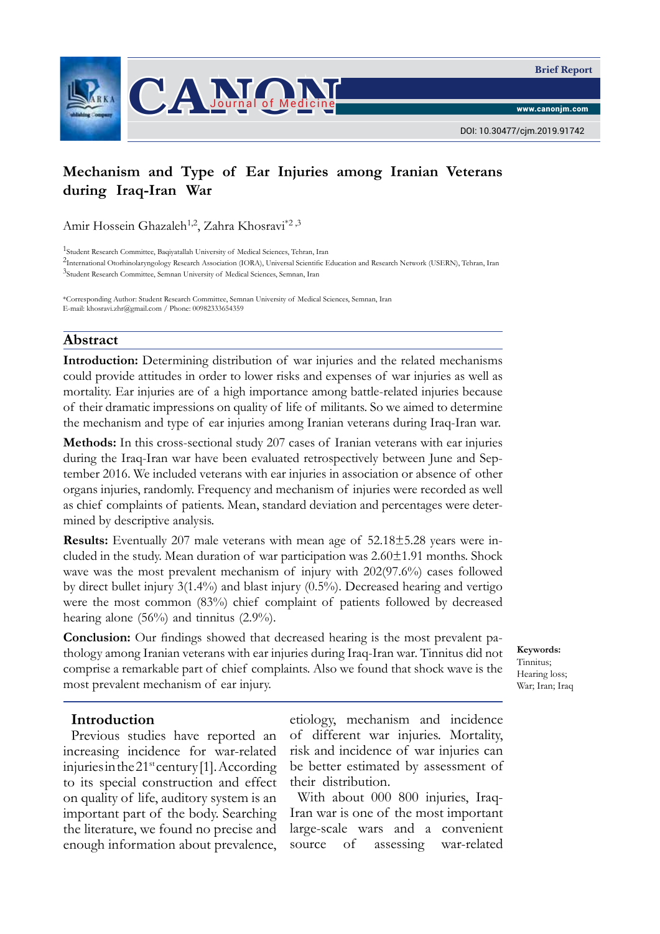



DOI: 10.30477/cjm.2019.91742

# **Mechanism and Type of Ear Injuries among Iranian Veterans during Iraq-Iran War**

Amir Hossein Ghazaleh<sup>1,2</sup>, Zahra Khosravi<sup>\*2,3</sup>

1Student Research Committee, Baqiyatallah University of Medical Sciences, Tehran, Iran

<sup>2</sup>International Otorhinolaryngology Research Association (IORA), Universal Scientific Education and Research Network (USERN), Tehran, Iran 3Student Research Committee, Semnan University of Medical Sciences, Semnan, Iran

\*Corresponding Author: Student Research Committee, Semnan University of Medical Sciences, Semnan, Iran E-mail: khosravi.zhr@gmail.com / Phone: 00982333654359

#### **Abstract**

**Introduction:** Determining distribution of war injuries and the related mechanisms could provide attitudes in order to lower risks and expenses of war injuries as well as mortality. Ear injuries are of a high importance among battle-related injuries because of their dramatic impressions on quality of life of militants. So we aimed to determine the mechanism and type of ear injuries among Iranian veterans during Iraq-Iran war.

**Methods:** In this cross-sectional study 207 cases of Iranian veterans with ear injuries during the Iraq-Iran war have been evaluated retrospectively between June and September 2016. We included veterans with ear injuries in association or absence of other organs injuries, randomly. Frequency and mechanism of injuries were recorded as well as chief complaints of patients. Mean, standard deviation and percentages were determined by descriptive analysis.

**Results:** Eventually 207 male veterans with mean age of 52.18±5.28 years were included in the study. Mean duration of war participation was 2.60±1.91 months. Shock wave was the most prevalent mechanism of injury with 202(97.6%) cases followed by direct bullet injury 3(1.4%) and blast injury (0.5%). Decreased hearing and vertigo were the most common (83%) chief complaint of patients followed by decreased hearing alone (56%) and tinnitus (2.9%).

**Conclusion:** Our findings showed that decreased hearing is the most prevalent pathology among Iranian veterans with ear injuries during Iraq-Iran war. Tinnitus did not comprise a remarkable part of chief complaints. Also we found that shock wave is the most prevalent mechanism of ear injury.

#### **Introduction**

Previous studies have reported an increasing incidence for war-related injuries in the  $21^{st}$  century [1]. According to its special construction and effect on quality of life, auditory system is an important part of the body. Searching the literature, we found no precise and enough information about prevalence,

etiology, mechanism and incidence of different war injuries. Mortality, risk and incidence of war injuries can be better estimated by assessment of their distribution.

With about 000 800 injuries, Iraq-Iran war is one of the most important large-scale wars and a convenient source of assessing war-related

**Keywords:**  Tinnitus; Hearing loss; War; Iran; Iraq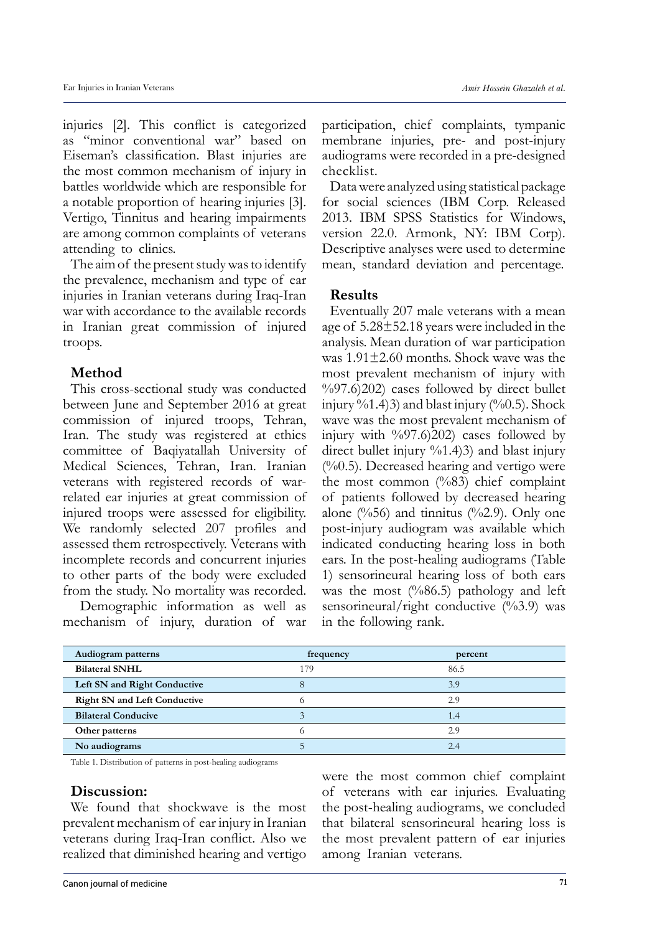injuries [2]. This conflict is categorized as "minor conventional war" based on Eiseman's classification. Blast injuries are the most common mechanism of injury in battles worldwide which are responsible for a notable proportion of hearing injuries [3]. Vertigo, Tinnitus and hearing impairments are among common complaints of veterans attending to clinics.

The aim of the present study was to identify the prevalence, mechanism and type of ear injuries in Iranian veterans during Iraq-Iran war with accordance to the available records in Iranian great commission of injured troops.

# **Method**

This cross-sectional study was conducted between June and September 2016 at great commission of injured troops, Tehran, Iran. The study was registered at ethics committee of Baqiyatallah University of Medical Sciences, Tehran, Iran. Iranian veterans with registered records of warrelated ear injuries at great commission of injured troops were assessed for eligibility. We randomly selected 207 profiles and assessed them retrospectively. Veterans with incomplete records and concurrent injuries to other parts of the body were excluded from the study. No mortality was recorded.

 Demographic information as well as mechanism of injury, duration of war participation, chief complaints, tympanic membrane injuries, pre- and post-injury audiograms were recorded in a pre-designed checklist.

Data were analyzed using statistical package for social sciences (IBM Corp. Released 2013. IBM SPSS Statistics for Windows, version 22.0. Armonk, NY: IBM Corp). Descriptive analyses were used to determine mean, standard deviation and percentage.

## **Results**

Eventually 207 male veterans with a mean age of 5.28±52.18 years were included in the analysis. Mean duration of war participation was 1.91±2.60 months. Shock wave was the most prevalent mechanism of injury with  $\%97.6(202)$  cases followed by direct bullet injury  $\%$ 1.4(3) and blast injury  $(\%$ 0.5). Shock wave was the most prevalent mechanism of injury with  $\frac{9}{97.6}$ (202) cases followed by direct bullet injury  $\%1.4(3)$  and blast injury  $(\%0.5)$ . Decreased hearing and vertigo were the most common (%83) chief complaint of patients followed by decreased hearing alone ( $\frac{9}{656}$ ) and tinnitus ( $\frac{9}{62.9}$ ). Only one post-injury audiogram was available which indicated conducting hearing loss in both ears. In the post-healing audiograms (Table 1) sensorineural hearing loss of both ears was the most  $(\frac{9}{86.5})$  pathology and left sensorineural/right conductive  $(\frac{9}{63.9})$  was in the following rank.

| Audiogram patterns                  | frequency | percent |
|-------------------------------------|-----------|---------|
| <b>Bilateral SNHL</b>               | 179       | 86.5    |
| Left SN and Right Conductive        |           | 3.9     |
| <b>Right SN and Left Conductive</b> |           | 2.9     |
| <b>Bilateral Conducive</b>          |           | 1.4     |
| Other patterns                      |           | 2.9     |
| No audiograms                       |           | 2.4     |

Table 1. Distribution of patterns in post-healing audiograms

# **Discussion:**

We found that shockwave is the most prevalent mechanism of ear injury in Iranian veterans during Iraq-Iran conflict. Also we realized that diminished hearing and vertigo

were the most common chief complaint of veterans with ear injuries. Evaluating the post-healing audiograms, we concluded that bilateral sensorineural hearing loss is the most prevalent pattern of ear injuries among Iranian veterans.